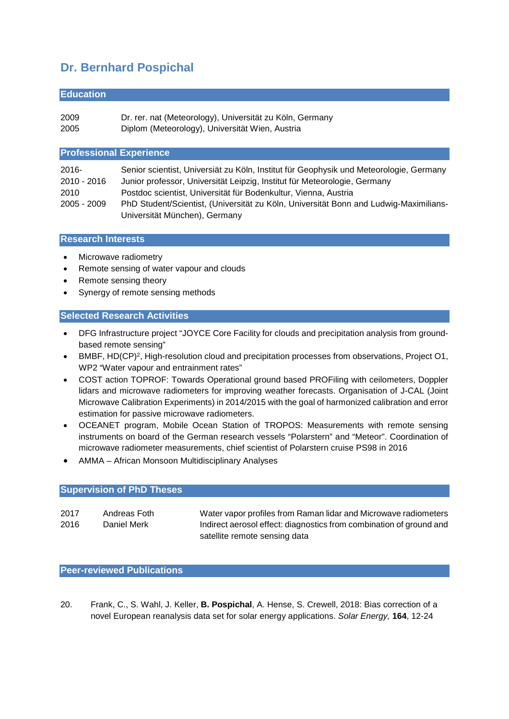# **Dr. Bernhard Pospichal**

#### **Education**

2009 Dr. rer. nat (Meteorology), Universität zu Köln, Germany

2005 Diplom (Meteorology), Universität Wien, Austria

### **Professional Experience**

| $2016 -$      | Senior scientist, Universiät zu Köln, Institut für Geophysik und Meteorologie, Germany |  |
|---------------|----------------------------------------------------------------------------------------|--|
| $2010 - 2016$ | Junior professor, Universität Leipzig, Institut für Meteorologie, Germany              |  |
| 2010          | Postdoc scientist, Universität für Bodenkultur, Vienna, Austria                        |  |
| $2005 - 2009$ | PhD Student/Scientist, (Universität zu Köln, Universität Bonn and Ludwig-Maximilians-  |  |
|               | Universität München), Germany                                                          |  |

#### **Research Interests**

- Microwave radiometry
- Remote sensing of water vapour and clouds
- Remote sensing theory
- Synergy of remote sensing methods

## **Selected Research Activities**

- DFG Infrastructure project "JOYCE Core Facility for clouds and precipitation analysis from groundbased remote sensing"
- BMBF, HD(CP)<sup>2</sup>, High-resolution cloud and precipitation processes from observations, Project O1, WP2 "Water vapour and entrainment rates"
- COST action TOPROF: Towards Operational ground based PROFiling with ceilometers, Doppler lidars and microwave radiometers for improving weather forecasts. Organisation of J-CAL (Joint Microwave Calibration Experiments) in 2014/2015 with the goal of harmonized calibration and error estimation for passive microwave radiometers.
- OCEANET program, Mobile Ocean Station of TROPOS: Measurements with remote sensing instruments on board of the German research vessels "Polarstern" and "Meteor". Coordination of microwave radiometer measurements, chief scientist of Polarstern cruise PS98 in 2016
- AMMA African Monsoon Multidisciplinary Analyses

## **Supervision of PhD Theses**

| 2017 | Andreas Foth | Water vapor profiles from Raman lidar and Microwave radiometers     |
|------|--------------|---------------------------------------------------------------------|
| 2016 | Daniel Merk  | Indirect aerosol effect: diagnostics from combination of ground and |
|      |              | satellite remote sensing data                                       |

## **Peer-reviewed Publications**

20. Frank, C., S. Wahl, J. Keller, **B. Pospichal**, A. Hense, S. Crewell, 2018: Bias correction of a novel European reanalysis data set for solar energy applications. *Solar Energy,* **164**, 12-24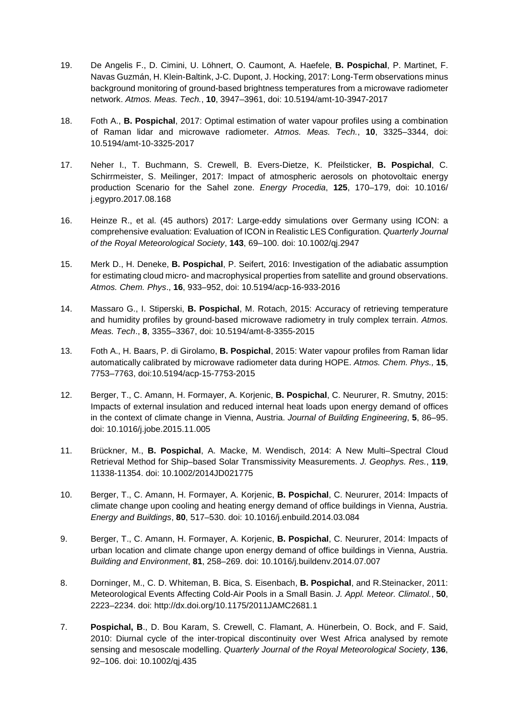- 19. De Angelis F., D. Cimini, U. Löhnert, O. Caumont, A. Haefele, **B. Pospichal**, P. Martinet, F. Navas Guzmán, H. Klein-Baltink, J-C. Dupont, J. Hocking, 2017: Long-Term observations minus background monitoring of ground-based brightness temperatures from a microwave radiometer network. *Atmos. Meas. Tech.*, **10**, 3947–3961, doi: 10.5194/amt-10-3947-2017
- 18. Foth A., **B. Pospichal**, 2017: Optimal estimation of water vapour profiles using a combination of Raman lidar and microwave radiometer. *Atmos. Meas. Tech.*, **10**, 3325–3344, doi: 10.5194/amt-10-3325-2017
- 17. Neher I., T. Buchmann, S. Crewell, B. Evers-Dietze, K. Pfeilsticker, **B. Pospichal**, C. Schirrmeister, S. Meilinger, 2017: Impact of atmospheric aerosols on photovoltaic energy production Scenario for the Sahel zone. *Energy Procedia*, **125**, 170–179, doi: 10.1016/ j.egypro.2017.08.168
- 16. Heinze R., et al. (45 authors) 2017: Large-eddy simulations over Germany using ICON: a comprehensive evaluation: Evaluation of ICON in Realistic LES Configuration. *Quarterly Journal of the Royal Meteorological Society*, **143**, 69–100. doi: 10.1002/qj.2947
- 15. Merk D., H. Deneke, **B. Pospichal**, P. Seifert, 2016: Investigation of the adiabatic assumption for estimating cloud micro- and macrophysical properties from satellite and ground observations. *Atmos. Chem. Phys*., **16**, 933–952, doi: 10.5194/acp-16-933-2016
- 14. Massaro G., I. Stiperski, **B. Pospichal**, M. Rotach, 2015: Accuracy of retrieving temperature and humidity profiles by ground-based microwave radiometry in truly complex terrain. *Atmos. Meas. Tech*., **8**, 3355–3367, doi: 10.5194/amt-8-3355-2015
- 13. Foth A., H. Baars, P. di Girolamo, **B. Pospichal**, 2015: Water vapour profiles from Raman lidar automatically calibrated by microwave radiometer data during HOPE. *Atmos. Chem. Phys.,* **15**, 7753–7763, doi:10.5194/acp-15-7753-2015
- 12. Berger, T., C. Amann, H. Formayer, A. Korjenic, **B. Pospichal**, C. Neururer, R. Smutny, 2015: Impacts of external insulation and reduced internal heat loads upon energy demand of offices in the context of climate change in Vienna, Austria. *Journal of Building Engineering*, **5**, 86–95. doi: 10.1016/j.jobe.2015.11.005
- 11. Brückner, M., **B. Pospichal**, A. Macke, M. Wendisch, 2014: A New Multi–Spectral Cloud Retrieval Method for Ship–based Solar Transmissivity Measurements. *J. Geophys. Res.*, **119**, 11338-11354. doi: 10.1002/2014JD021775
- 10. Berger, T., C. Amann, H. Formayer, A. Korjenic, **B. Pospichal**, C. Neururer, 2014: Impacts of climate change upon cooling and heating energy demand of office buildings in Vienna, Austria. *Energy and Buildings*, **80**, 517–530. doi: 10.1016/j.enbuild.2014.03.084
- 9. Berger, T., C. Amann, H. Formayer, A. Korjenic, **B. Pospichal**, C. Neururer, 2014: Impacts of urban location and climate change upon energy demand of office buildings in Vienna, Austria. *Building and Environment*, **81**, 258–269. doi: 10.1016/j.buildenv.2014.07.007
- 8. Dorninger, M., C. D. Whiteman, B. Bica, S. Eisenbach, **B. Pospichal**, and R.Steinacker, 2011: Meteorological Events Affecting Cold-Air Pools in a Small Basin. *J. Appl. Meteor. Climatol.*, **50**, 2223–2234. doi: http://dx.doi.org/10.1175/2011JAMC2681.1
- 7. **Pospichal, B**., D. Bou Karam, S. Crewell, C. Flamant, A. Hünerbein, O. Bock, and F. Said, 2010: Diurnal cycle of the inter-tropical discontinuity over West Africa analysed by remote sensing and mesoscale modelling. *Quarterly Journal of the Royal Meteorological Society*, **136**, 92–106. doi: 10.1002/qj.435